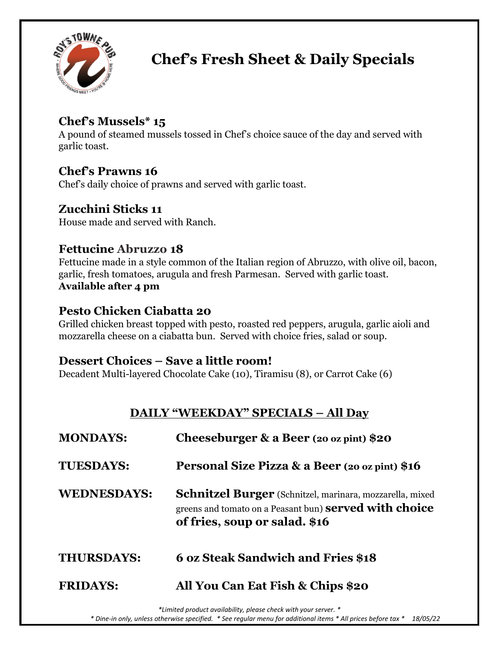

# **Chef's Fresh Sheet & Daily Specials**

# **Chef's Mussels\* 15**

A pound of steamed mussels tossed in Chef's choice sauce of the day and served with garlic toast.

## **Chef's Prawns 16**

Chef's daily choice of prawns and served with garlic toast.

## **Zucchini Sticks 11**

House made and served with Ranch.

## **Fettucine Abruzzo 18**

Fettucine made in a style common of the Italian region of Abruzzo, with olive oil, bacon, garlic, fresh tomatoes, arugula and fresh Parmesan. Served with garlic toast. **Available after 4 pm**

### **Pesto Chicken Ciabatta 20**

Grilled chicken breast topped with pesto, roasted red peppers, arugula, garlic aioli and mozzarella cheese on a ciabatta bun. Served with choice fries, salad or soup.

### **Dessert Choices – Save a little room!**

Decadent Multi-layered Chocolate Cake (10), Tiramisu (8), or Carrot Cake (6)

## **DAILY "WEEKDAY" SPECIALS – All Day**

| <b>MONDAYS:</b>    | Cheeseburger & a Beer (20 oz pint) $$20$                                                                                                                          |
|--------------------|-------------------------------------------------------------------------------------------------------------------------------------------------------------------|
| <b>TUESDAYS:</b>   | Personal Size Pizza & a Beer (20 oz pint) \$16                                                                                                                    |
| <b>WEDNESDAYS:</b> | <b>Schnitzel Burger</b> (Schnitzel, marinara, mozzarella, mixed<br>greens and tomato on a Peasant bun) <b>served with choice</b><br>of fries, soup or salad. \$16 |
| <b>THURSDAYS:</b>  | <b>6 oz Steak Sandwich and Fries \$18</b>                                                                                                                         |
| <b>FRIDAYS:</b>    | All You Can Eat Fish & Chips \$20                                                                                                                                 |

*\*Limited product availability, please check with your server. \**

 *\* Dine-in only, unless otherwise specified. \* See regular menu for additional items \* All prices before tax \* 18/05/22*